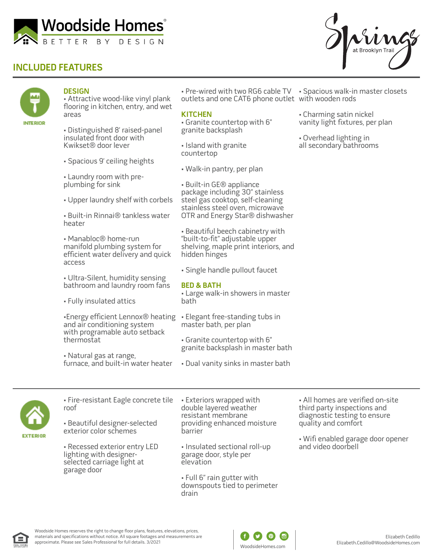

## **INCLUDED FEATURES**



### **DESIGN**

• Attractive wood-like vinyl plank flooring in kitchen, entry, and wet areas

• Distinguished 8' raised-panel insulated front door with Kwikset® door lever

- Spacious 9' ceiling heights
- Laundry room with preplumbing for sink
- Upper laundry shelf with corbels

• Built-in Rinnai® tankless water heater

• Manabloc® home-run manifold plumbing system for efficient water delivery and quick access

• Ultra-Silent, humidity sensing bathroom and laundry room fans

• Fully insulated attics

•Energy efficient Lennox® heating • Elegant free-standing tubs in and air conditioning system with programable auto setback thermostat

• Natural gas at range, furnace, and built-in water heater • Pre-wired with two RG6 cable TV • Spacious walk-in master closets outlets and one CAT6 phone outlet with wooden rods

#### **KITCHEN**

• Granite countertop with 6" granite backsplash

- Island with granite countertop
- Walk-in pantry, per plan
- Built-in GE® appliance package including 30" stainless steel gas cooktop, self-cleaning stainless steel oven, microwave OTR and Energy Star® dishwasher

• Beautiful beech cabinetry with "built-to-fit" adjustable upper shelving, maple print interiors, and hidden hinges

• Single handle pullout faucet

#### **BED & BATH**

• Large walk-in showers in master bath

master bath, per plan

• Granite countertop with 6" granite backsplash in master bath

• Dual vanity sinks in master bath



• Fire-resistant Eagle concrete tile roof

• Beautiful designer-selected exterior color schemes

• Recessed exterior entry LED lighting with designerselected carriage light at garage door

• Exteriors wrapped with double layered weather resistant membrane providing enhanced moisture barrier

• Insulated sectional roll-up garage door, style per elevation

• Full 6" rain gutter with downspouts tied to perimeter drain

• All homes are verified on-site third party inspections and diagnostic testing to ensure quality and comfort

• Wifi enabled garage door opener and video doorbell







• Charming satin nickel vanity light fixtures, per plan

• Overhead lighting in all secondary bathrooms